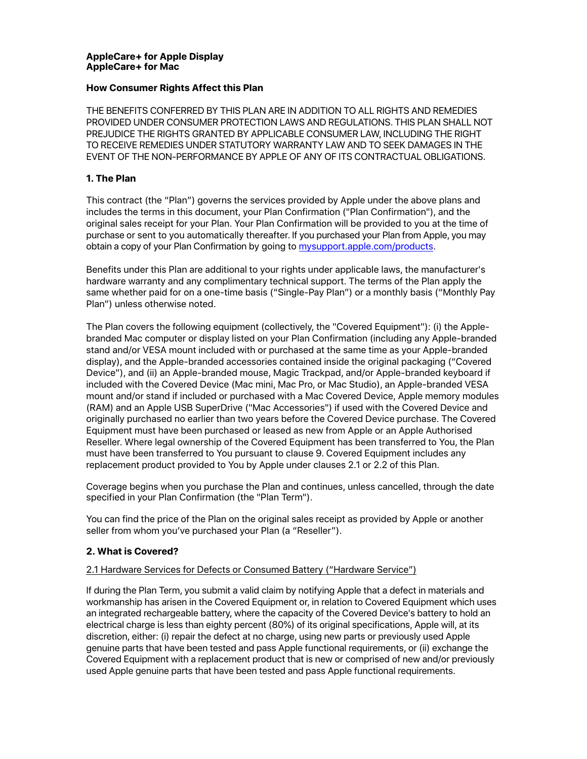### **AppleCare+ for Apple Display AppleCare+ for Mac**

### **How Consumer Rights Affect this Plan**

THE BENEFITS CONFERRED BY THIS PLAN ARE IN ADDITION TO ALL RIGHTS AND REMEDIES PROVIDED UNDER CONSUMER PROTECTION LAWS AND REGULATIONS. THIS PLAN SHALL NOT PREJUDICE THE RIGHTS GRANTED BY APPLICABLE CONSUMER LAW, INCLUDING THE RIGHT TO RECEIVE REMEDIES UNDER STATUTORY WARRANTY LAW AND TO SEEK DAMAGES IN THE EVENT OF THE NON-PERFORMANCE BY APPLE OF ANY OF ITS CONTRACTUAL OBLIGATIONS.

### **1. The Plan**

This contract (the "Plan") governs the services provided by Apple under the above plans and includes the terms in this document, your Plan Confirmation ("Plan Confirmation"), and the original sales receipt for your Plan. Your Plan Confirmation will be provided to you at the time of purchase or sent to you automatically thereafter. If you purchased your Plan from Apple, you may obtain a copy of your Plan Confirmation by going to [mysupport.apple.com/products](http://mysupport.apple.com/products).

Benefits under this Plan are additional to your rights under applicable laws, the manufacturer's hardware warranty and any complimentary technical support. The terms of the Plan apply the same whether paid for on a one-time basis ("Single-Pay Plan") or a monthly basis ("Monthly Pay Plan") unless otherwise noted.

The Plan covers the following equipment (collectively, the "Covered Equipment"): (i) the Applebranded Mac computer or display listed on your Plan Confirmation (including any Apple-branded stand and/or VESA mount included with or purchased at the same time as your Apple-branded display), and the Apple-branded accessories contained inside the original packaging ("Covered Device"), and (ii) an Apple-branded mouse, Magic Trackpad, and/or Apple-branded keyboard if included with the Covered Device (Mac mini, Mac Pro, or Mac Studio), an Apple-branded VESA mount and/or stand if included or purchased with a Mac Covered Device, Apple memory modules (RAM) and an Apple USB SuperDrive ("Mac Accessories") if used with the Covered Device and originally purchased no earlier than two years before the Covered Device purchase. The Covered Equipment must have been purchased or leased as new from Apple or an Apple Authorised Reseller. Where legal ownership of the Covered Equipment has been transferred to You, the Plan must have been transferred to You pursuant to clause 9. Covered Equipment includes any replacement product provided to You by Apple under clauses 2.1 or 2.2 of this Plan.

Coverage begins when you purchase the Plan and continues, unless cancelled, through the date specified in your Plan Confirmation (the "Plan Term").

You can find the price of the Plan on the original sales receipt as provided by Apple or another seller from whom you've purchased your Plan (a "Reseller").

# **2. What is Covered?**

### 2.1 Hardware Services for Defects or Consumed Battery ("Hardware Service")

If during the Plan Term, you submit a valid claim by notifying Apple that a defect in materials and workmanship has arisen in the Covered Equipment or, in relation to Covered Equipment which uses an integrated rechargeable battery, where the capacity of the Covered Device's battery to hold an electrical charge is less than eighty percent (80%) of its original specifications, Apple will, at its discretion, either: (i) repair the defect at no charge, using new parts or previously used Apple genuine parts that have been tested and pass Apple functional requirements, or (ii) exchange the Covered Equipment with a replacement product that is new or comprised of new and/or previously used Apple genuine parts that have been tested and pass Apple functional requirements.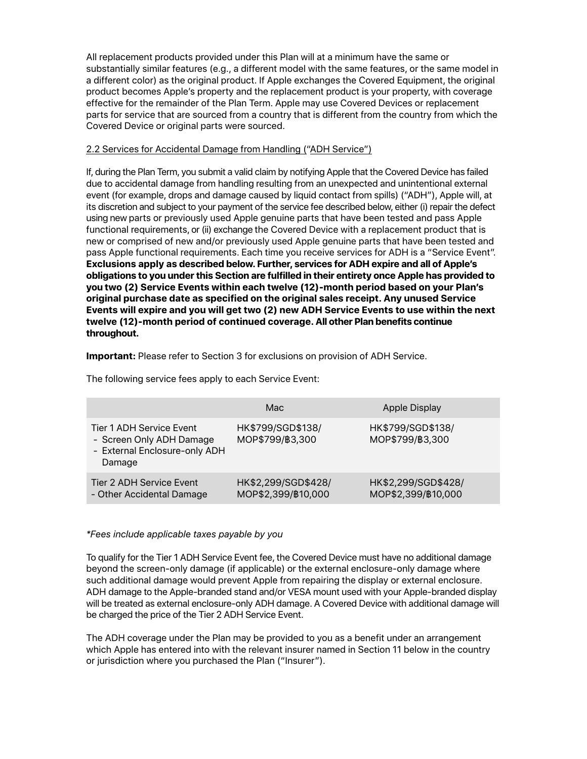All replacement products provided under this Plan will at a minimum have the same or substantially similar features (e.g., a different model with the same features, or the same model in a different color) as the original product. If Apple exchanges the Covered Equipment, the original product becomes Apple's property and the replacement product is your property, with coverage effective for the remainder of the Plan Term. Apple may use Covered Devices or replacement parts for service that are sourced from a country that is different from the country from which the Covered Device or original parts were sourced.

### 2.2 Services for Accidental Damage from Handling ("ADH Service")

If, during the Plan Term, you submit a valid claim by notifying Apple that the Covered Device has failed due to accidental damage from handling resulting from an unexpected and unintentional external event (for example, drops and damage caused by liquid contact from spills) ("ADH"), Apple will, at its discretion and subject to your payment of the service fee described below, either (i) repair the defect using new parts or previously used Apple genuine parts that have been tested and pass Apple functional requirements, or (ii) exchange the Covered Device with a replacement product that is new or comprised of new and/or previously used Apple genuine parts that have been tested and pass Apple functional requirements. Each time you receive services for ADH is a "Service Event". **Exclusions apply as described below. Further, services for ADH expire and all of Apple's obligations to you under this Section are fulfilled in their entirety once Apple has provided to you two (2) Service Events within each twelve (12)-month period based on your Plan's original purchase date as specified on the original sales receipt. Any unused Service Events will expire and you will get two (2) new ADH Service Events to use within the next twelve (12)-month period of continued coverage. All other Plan benefits continue throughout.**

**Important:** Please refer to Section 3 for exclusions on provision of ADH Service.

The following service fees apply to each Service Event:

|                                                                                                 | Mac                                       | Apple Display                             |
|-------------------------------------------------------------------------------------------------|-------------------------------------------|-------------------------------------------|
| Tier 1 ADH Service Event<br>- Screen Only ADH Damage<br>- External Enclosure-only ADH<br>Damage | HK\$799/SGD\$138/<br>MOP\$799/B3,300      | HK\$799/SGD\$138/<br>MOP\$799/B3,300      |
| Tier 2 ADH Service Event<br>- Other Accidental Damage                                           | HK\$2,299/SGD\$428/<br>MOP\$2,399/B10,000 | HK\$2,299/SGD\$428/<br>MOP\$2,399/B10,000 |

### *\*Fees include applicable taxes payable by you*

To qualify for the Tier 1 ADH Service Event fee, the Covered Device must have no additional damage beyond the screen-only damage (if applicable) or the external enclosure-only damage where such additional damage would prevent Apple from repairing the display or external enclosure. ADH damage to the Apple-branded stand and/or VESA mount used with your Apple-branded display will be treated as external enclosure-only ADH damage. A Covered Device with additional damage will be charged the price of the Tier 2 ADH Service Event.

The ADH coverage under the Plan may be provided to you as a benefit under an arrangement which Apple has entered into with the relevant insurer named in Section 11 below in the country or jurisdiction where you purchased the Plan ("Insurer").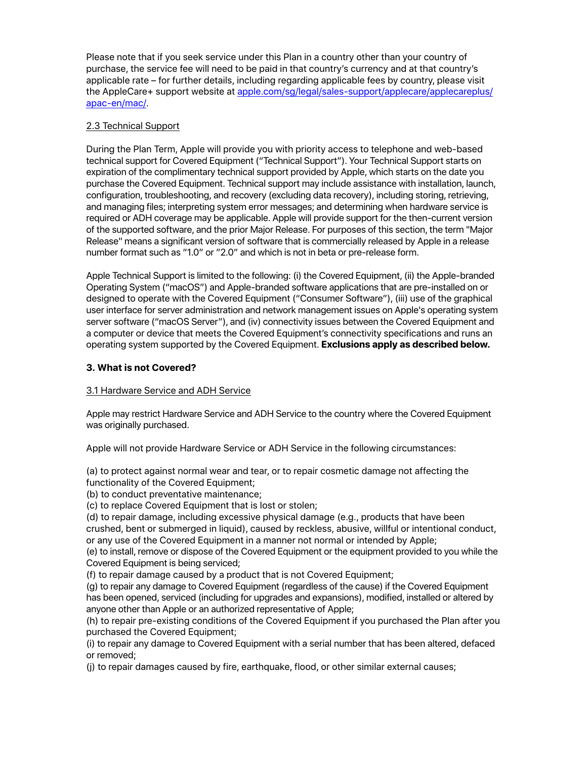Please note that if you seek service under this Plan in a country other than your country of purchase, the service fee will need to be paid in that country's currency and at that country's applicable rate – for further details, including regarding applicable fees by country, please visit the AppleCare+ support website at [apple.com/sg/legal/sales-support/applecare/applecareplus/](https://www.apple.com/sg/legal/sales-support/applecare/applecareplus/apac-en/mac/) [apac-en/mac/.](https://www.apple.com/sg/legal/sales-support/applecare/applecareplus/apac-en/mac/)

# 2.3 Technical Support

During the Plan Term, Apple will provide you with priority access to telephone and web-based technical support for Covered Equipment ("Technical Support"). Your Technical Support starts on expiration of the complimentary technical support provided by Apple, which starts on the date you purchase the Covered Equipment. Technical support may include assistance with installation, launch, configuration, troubleshooting, and recovery (excluding data recovery), including storing, retrieving, and managing files; interpreting system error messages; and determining when hardware service is required or ADH coverage may be applicable. Apple will provide support for the then-current version of the supported software, and the prior Major Release. For purposes of this section, the term "Major Release" means a significant version of software that is commercially released by Apple in a release number format such as "1.0" or "2.0" and which is not in beta or pre-release form.

Apple Technical Support is limited to the following: (i) the Covered Equipment, (ii) the Apple-branded Operating System ("macOS") and Apple-branded software applications that are pre-installed on or designed to operate with the Covered Equipment ("Consumer Software"), (iii) use of the graphical user interface for server administration and network management issues on Apple's operating system server software ("macOS Server"), and (iv) connectivity issues between the Covered Equipment and a computer or device that meets the Covered Equipment's connectivity specifications and runs an operating system supported by the Covered Equipment. **Exclusions apply as described below.**

# **3. What is not Covered?**

# 3.1 Hardware Service and ADH Service

Apple may restrict Hardware Service and ADH Service to the country where the Covered Equipment was originally purchased.

Apple will not provide Hardware Service or ADH Service in the following circumstances:

(a) to protect against normal wear and tear, or to repair cosmetic damage not affecting the functionality of the Covered Equipment;

(b) to conduct preventative maintenance;

(c) to replace Covered Equipment that is lost or stolen;

(d) to repair damage, including excessive physical damage (e.g., products that have been crushed, bent or submerged in liquid), caused by reckless, abusive, willful or intentional conduct, or any use of the Covered Equipment in a manner not normal or intended by Apple;

(e) to install, remove or dispose of the Covered Equipment or the equipment provided to you while the Covered Equipment is being serviced;

(f) to repair damage caused by a product that is not Covered Equipment;

(g) to repair any damage to Covered Equipment (regardless of the cause) if the Covered Equipment has been opened, serviced (including for upgrades and expansions), modified, installed or altered by anyone other than Apple or an authorized representative of Apple;

(h) to repair pre-existing conditions of the Covered Equipment if you purchased the Plan after you purchased the Covered Equipment;

(i) to repair any damage to Covered Equipment with a serial number that has been altered, defaced or removed;

(j) to repair damages caused by fire, earthquake, flood, or other similar external causes;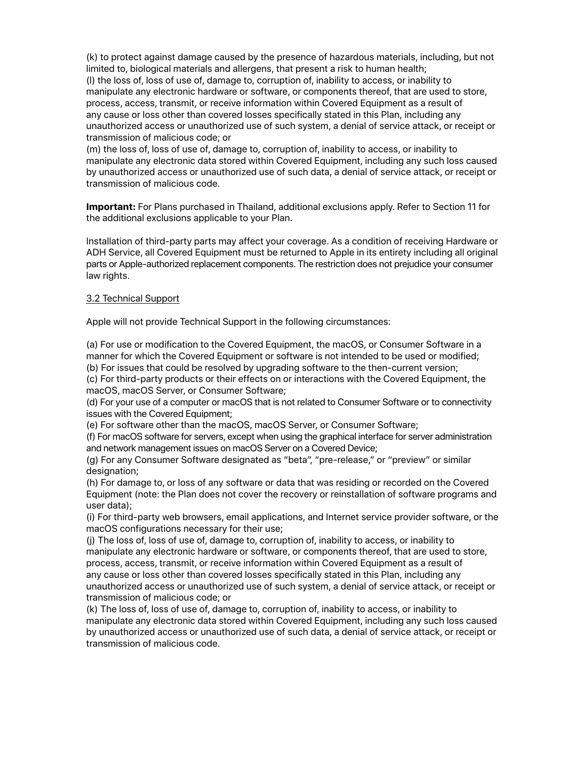(k) to protect against damage caused by the presence of hazardous materials, including, but not limited to, biological materials and allergens, that present a risk to human health; (l) the loss of, loss of use of, damage to, corruption of, inability to access, or inability to manipulate any electronic hardware or software, or components thereof, that are used to store, process, access, transmit, or receive information within Covered Equipment as a result of any cause or loss other than covered losses specifically stated in this Plan, including any unauthorized access or unauthorized use of such system, a denial of service attack, or receipt or transmission of malicious code; or

(m) the loss of, loss of use of, damage to, corruption of, inability to access, or inability to manipulate any electronic data stored within Covered Equipment, including any such loss caused by unauthorized access or unauthorized use of such data, a denial of service attack, or receipt or transmission of malicious code.

**Important:** For Plans purchased in Thailand, additional exclusions apply. Refer to Section 11 for the additional exclusions applicable to your Plan.

Installation of third-party parts may affect your coverage. As a condition of receiving Hardware or ADH Service, all Covered Equipment must be returned to Apple in its entirety including all original parts or Apple-authorized replacement components. The restriction does not prejudice your consumer law rights.

### 3.2 Technical Support

Apple will not provide Technical Support in the following circumstances:

(a) For use or modification to the Covered Equipment, the macOS, or Consumer Software in a manner for which the Covered Equipment or software is not intended to be used or modified;

(b) For issues that could be resolved by upgrading software to the then-current version;

(c) For third-party products or their effects on or interactions with the Covered Equipment, the macOS, macOS Server, or Consumer Software;

(d) For your use of a computer or macOS that is not related to Consumer Software or to connectivity issues with the Covered Equipment;

(e) For software other than the macOS, macOS Server, or Consumer Software;

(f) For macOS software for servers, except when using the graphical interface for server administration and network management issues on macOS Server on a Covered Device;

(g) For any Consumer Software designated as "beta", "pre-release," or "preview" or similar designation;

(h) For damage to, or loss of any software or data that was residing or recorded on the Covered Equipment (note: the Plan does not cover the recovery or reinstallation of software programs and user data);

(i) For third-party web browsers, email applications, and Internet service provider software, or the macOS configurations necessary for their use;

(j) The loss of, loss of use of, damage to, corruption of, inability to access, or inability to manipulate any electronic hardware or software, or components thereof, that are used to store, process, access, transmit, or receive information within Covered Equipment as a result of any cause or loss other than covered losses specifically stated in this Plan, including any unauthorized access or unauthorized use of such system, a denial of service attack, or receipt or transmission of malicious code; or

(k) The loss of, loss of use of, damage to, corruption of, inability to access, or inability to manipulate any electronic data stored within Covered Equipment, including any such loss caused by unauthorized access or unauthorized use of such data, a denial of service attack, or receipt or transmission of malicious code.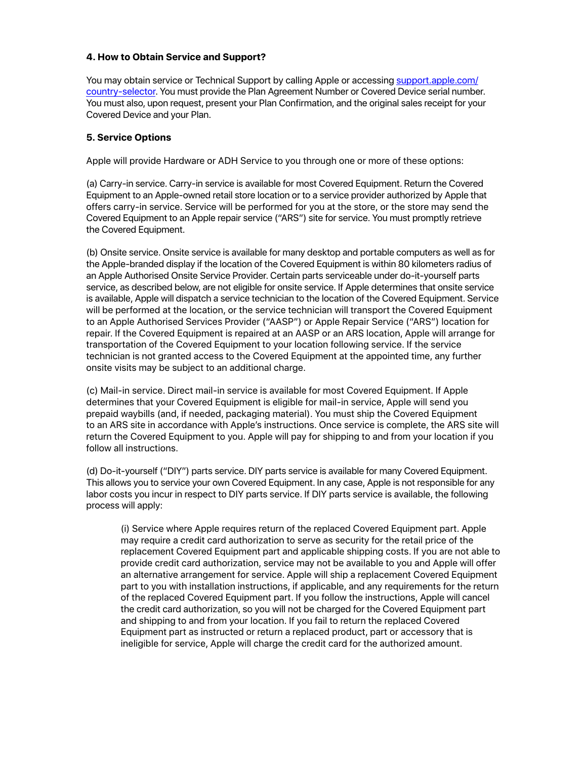### **4. How to Obtain Service and Support?**

You may obtain service or Technical Support by calling Apple or accessing [support.apple.com/](http://support.apple.com/country-selector) [country-selector](http://support.apple.com/country-selector). You must provide the Plan Agreement Number or Covered Device serial number. You must also, upon request, present your Plan Confirmation, and the original sales receipt for your Covered Device and your Plan.

### **5. Service Options**

Apple will provide Hardware or ADH Service to you through one or more of these options:

(a) Carry-in service. Carry-in service is available for most Covered Equipment. Return the Covered Equipment to an Apple-owned retail store location or to a service provider authorized by Apple that offers carry-in service. Service will be performed for you at the store, or the store may send the Covered Equipment to an Apple repair service ("ARS") site for service. You must promptly retrieve the Covered Equipment.

(b) Onsite service. Onsite service is available for many desktop and portable computers as well as for the Apple-branded display if the location of the Covered Equipment is within 80 kilometers radius of an Apple Authorised Onsite Service Provider. Certain parts serviceable under do-it-yourself parts service, as described below, are not eligible for onsite service. If Apple determines that onsite service is available, Apple will dispatch a service technician to the location of the Covered Equipment. Service will be performed at the location, or the service technician will transport the Covered Equipment to an Apple Authorised Services Provider ("AASP") or Apple Repair Service ("ARS") location for repair. If the Covered Equipment is repaired at an AASP or an ARS location, Apple will arrange for transportation of the Covered Equipment to your location following service. If the service technician is not granted access to the Covered Equipment at the appointed time, any further onsite visits may be subject to an additional charge.

(c) Mail-in service. Direct mail-in service is available for most Covered Equipment. If Apple determines that your Covered Equipment is eligible for mail-in service, Apple will send you prepaid waybills (and, if needed, packaging material). You must ship the Covered Equipment to an ARS site in accordance with Apple's instructions. Once service is complete, the ARS site will return the Covered Equipment to you. Apple will pay for shipping to and from your location if you follow all instructions.

(d) Do-it-yourself ("DIY") parts service. DIY parts service is available for many Covered Equipment. This allows you to service your own Covered Equipment. In any case, Apple is not responsible for any labor costs you incur in respect to DIY parts service. If DIY parts service is available, the following process will apply:

(i) Service where Apple requires return of the replaced Covered Equipment part. Apple may require a credit card authorization to serve as security for the retail price of the replacement Covered Equipment part and applicable shipping costs. If you are not able to provide credit card authorization, service may not be available to you and Apple will offer an alternative arrangement for service. Apple will ship a replacement Covered Equipment part to you with installation instructions, if applicable, and any requirements for the return of the replaced Covered Equipment part. If you follow the instructions, Apple will cancel the credit card authorization, so you will not be charged for the Covered Equipment part and shipping to and from your location. If you fail to return the replaced Covered Equipment part as instructed or return a replaced product, part or accessory that is ineligible for service, Apple will charge the credit card for the authorized amount.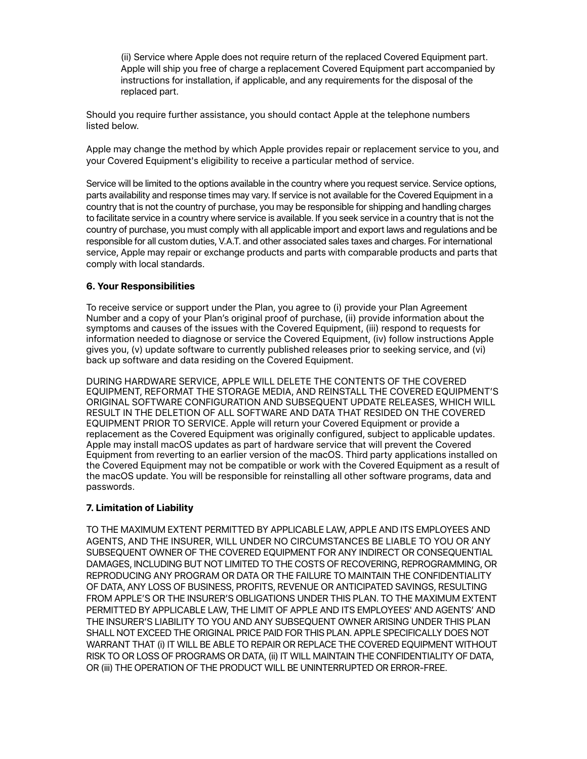(ii) Service where Apple does not require return of the replaced Covered Equipment part. Apple will ship you free of charge a replacement Covered Equipment part accompanied by instructions for installation, if applicable, and any requirements for the disposal of the replaced part.

Should you require further assistance, you should contact Apple at the telephone numbers listed below.

Apple may change the method by which Apple provides repair or replacement service to you, and your Covered Equipment's eligibility to receive a particular method of service.

Service will be limited to the options available in the country where you request service. Service options, parts availability and response times may vary. If service is not available for the Covered Equipment in a country that is not the country of purchase, you may be responsible for shipping and handling charges to facilitate service in a country where service is available. If you seek service in a country that is not the country of purchase, you must comply with all applicable import and export laws and regulations and be responsible for all custom duties, V.A.T. and other associated sales taxes and charges. For international service, Apple may repair or exchange products and parts with comparable products and parts that comply with local standards.

### **6. Your Responsibilities**

To receive service or support under the Plan, you agree to (i) provide your Plan Agreement Number and a copy of your Plan's original proof of purchase, (ii) provide information about the symptoms and causes of the issues with the Covered Equipment, (iii) respond to requests for information needed to diagnose or service the Covered Equipment, (iv) follow instructions Apple gives you, (v) update software to currently published releases prior to seeking service, and (vi) back up software and data residing on the Covered Equipment.

DURING HARDWARE SERVICE, APPLE WILL DELETE THE CONTENTS OF THE COVERED EQUIPMENT, REFORMAT THE STORAGE MEDIA, AND REINSTALL THE COVERED EQUIPMENT'S ORIGINAL SOFTWARE CONFIGURATION AND SUBSEQUENT UPDATE RELEASES, WHICH WILL RESULT IN THE DELETION OF ALL SOFTWARE AND DATA THAT RESIDED ON THE COVERED EQUIPMENT PRIOR TO SERVICE. Apple will return your Covered Equipment or provide a replacement as the Covered Equipment was originally configured, subject to applicable updates. Apple may install macOS updates as part of hardware service that will prevent the Covered Equipment from reverting to an earlier version of the macOS. Third party applications installed on the Covered Equipment may not be compatible or work with the Covered Equipment as a result of the macOS update. You will be responsible for reinstalling all other software programs, data and passwords.

### **7. Limitation of Liability**

TO THE MAXIMUM EXTENT PERMITTED BY APPLICABLE LAW, APPLE AND ITS EMPLOYEES AND AGENTS, AND THE INSURER, WILL UNDER NO CIRCUMSTANCES BE LIABLE TO YOU OR ANY SUBSEQUENT OWNER OF THE COVERED EQUIPMENT FOR ANY INDIRECT OR CONSEQUENTIAL DAMAGES, INCLUDING BUT NOT LIMITED TO THE COSTS OF RECOVERING, REPROGRAMMING, OR REPRODUCING ANY PROGRAM OR DATA OR THE FAILURE TO MAINTAIN THE CONFIDENTIALITY OF DATA, ANY LOSS OF BUSINESS, PROFITS, REVENUE OR ANTICIPATED SAVINGS, RESULTING FROM APPLE'S OR THE INSURER'S OBLIGATIONS UNDER THIS PLAN. TO THE MAXIMUM EXTENT PERMITTED BY APPLICABLE LAW, THE LIMIT OF APPLE AND ITS EMPLOYEES' AND AGENTS' AND THE INSURER'S LIABILITY TO YOU AND ANY SUBSEQUENT OWNER ARISING UNDER THIS PLAN SHALL NOT EXCEED THE ORIGINAL PRICE PAID FOR THIS PLAN. APPLE SPECIFICALLY DOES NOT WARRANT THAT (i) IT WILL BE ABLE TO REPAIR OR REPLACE THE COVERED EQUIPMENT WITHOUT RISK TO OR LOSS OF PROGRAMS OR DATA, (ii) IT WILL MAINTAIN THE CONFIDENTIALITY OF DATA, OR (iii) THE OPERATION OF THE PRODUCT WILL BE UNINTERRUPTED OR ERROR-FREE.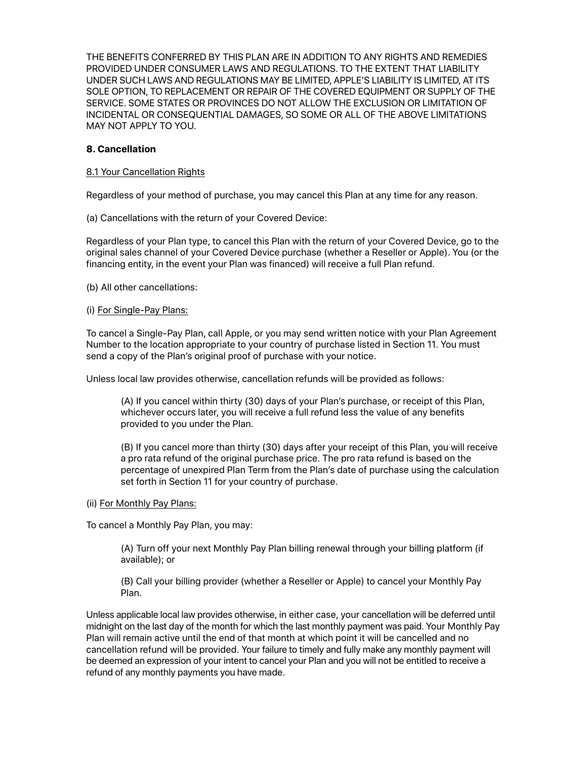THE BENEFITS CONFERRED BY THIS PLAN ARE IN ADDITION TO ANY RIGHTS AND REMEDIES PROVIDED UNDER CONSUMER LAWS AND REGULATIONS. TO THE EXTENT THAT LIABILITY UNDER SUCH LAWS AND REGULATIONS MAY BE LIMITED, APPLE'S LIABILITY IS LIMITED, AT ITS SOLE OPTION, TO REPLACEMENT OR REPAIR OF THE COVERED EQUIPMENT OR SUPPLY OF THE SERVICE. SOME STATES OR PROVINCES DO NOT ALLOW THE EXCLUSION OR LIMITATION OF INCIDENTAL OR CONSEQUENTIAL DAMAGES, SO SOME OR ALL OF THE ABOVE LIMITATIONS MAY NOT APPLY TO YOU.

### **8. Cancellation**

### 8.1 Your Cancellation Rights

Regardless of your method of purchase, you may cancel this Plan at any time for any reason.

(a) Cancellations with the return of your Covered Device:

Regardless of your Plan type, to cancel this Plan with the return of your Covered Device, go to the original sales channel of your Covered Device purchase (whether a Reseller or Apple). You (or the financing entity, in the event your Plan was financed) will receive a full Plan refund.

(b) All other cancellations:

### (i) For Single-Pay Plans:

To cancel a Single-Pay Plan, call Apple, or you may send written notice with your Plan Agreement Number to the location appropriate to your country of purchase listed in Section 11. You must send a copy of the Plan's original proof of purchase with your notice.

Unless local law provides otherwise, cancellation refunds will be provided as follows:

(A) If you cancel within thirty (30) days of your Plan's purchase, or receipt of this Plan, whichever occurs later, you will receive a full refund less the value of any benefits provided to you under the Plan.

(B) If you cancel more than thirty (30) days after your receipt of this Plan, you will receive a pro rata refund of the original purchase price. The pro rata refund is based on the percentage of unexpired Plan Term from the Plan's date of purchase using the calculation set forth in Section 11 for your country of purchase.

### (ii) For Monthly Pay Plans:

To cancel a Monthly Pay Plan, you may:

(A) Turn off your next Monthly Pay Plan billing renewal through your billing platform (if available); or

(B) Call your billing provider (whether a Reseller or Apple) to cancel your Monthly Pay Plan.

Unless applicable local law provides otherwise, in either case, your cancellation will be deferred until midnight on the last day of the month for which the last monthly payment was paid. Your Monthly Pay Plan will remain active until the end of that month at which point it will be cancelled and no cancellation refund will be provided. Your failure to timely and fully make any monthly payment will be deemed an expression of your intent to cancel your Plan and you will not be entitled to receive a refund of any monthly payments you have made.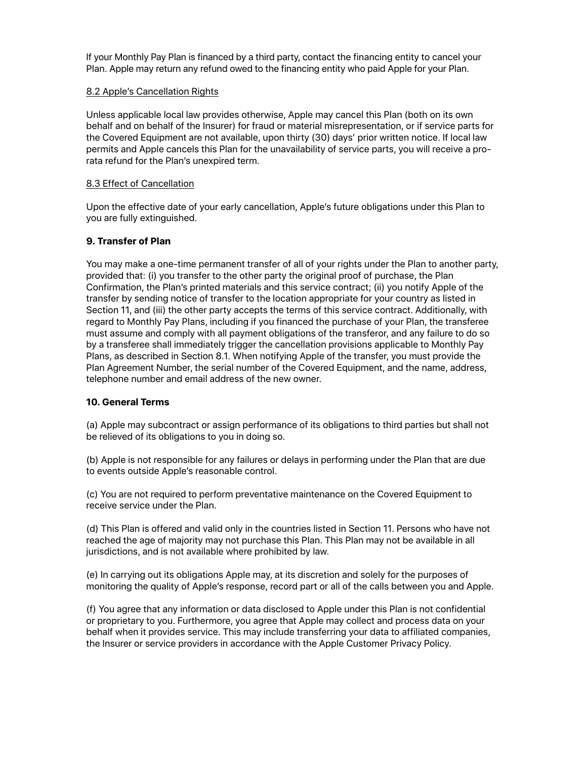If your Monthly Pay Plan is financed by a third party, contact the financing entity to cancel your Plan. Apple may return any refund owed to the financing entity who paid Apple for your Plan.

### 8.2 Apple's Cancellation Rights

Unless applicable local law provides otherwise, Apple may cancel this Plan (both on its own behalf and on behalf of the Insurer) for fraud or material misrepresentation, or if service parts for the Covered Equipment are not available, upon thirty (30) days' prior written notice. If local law permits and Apple cancels this Plan for the unavailability of service parts, you will receive a prorata refund for the Plan's unexpired term.

### 8.3 Effect of Cancellation

Upon the effective date of your early cancellation, Apple's future obligations under this Plan to you are fully extinguished.

### **9. Transfer of Plan**

You may make a one-time permanent transfer of all of your rights under the Plan to another party, provided that: (i) you transfer to the other party the original proof of purchase, the Plan Confirmation, the Plan's printed materials and this service contract; (ii) you notify Apple of the transfer by sending notice of transfer to the location appropriate for your country as listed in Section 11, and (iii) the other party accepts the terms of this service contract. Additionally, with regard to Monthly Pay Plans, including if you financed the purchase of your Plan, the transferee must assume and comply with all payment obligations of the transferor, and any failure to do so by a transferee shall immediately trigger the cancellation provisions applicable to Monthly Pay Plans, as described in Section 8.1. When notifying Apple of the transfer, you must provide the Plan Agreement Number, the serial number of the Covered Equipment, and the name, address, telephone number and email address of the new owner.

### **10. General Terms**

(a) Apple may subcontract or assign performance of its obligations to third parties but shall not be relieved of its obligations to you in doing so.

(b) Apple is not responsible for any failures or delays in performing under the Plan that are due to events outside Apple's reasonable control.

(c) You are not required to perform preventative maintenance on the Covered Equipment to receive service under the Plan.

(d) This Plan is offered and valid only in the countries listed in Section 11. Persons who have not reached the age of majority may not purchase this Plan. This Plan may not be available in all jurisdictions, and is not available where prohibited by law.

(e) In carrying out its obligations Apple may, at its discretion and solely for the purposes of monitoring the quality of Apple's response, record part or all of the calls between you and Apple.

(f) You agree that any information or data disclosed to Apple under this Plan is not confidential or proprietary to you. Furthermore, you agree that Apple may collect and process data on your behalf when it provides service. This may include transferring your data to affiliated companies, the Insurer or service providers in accordance with the Apple Customer Privacy Policy.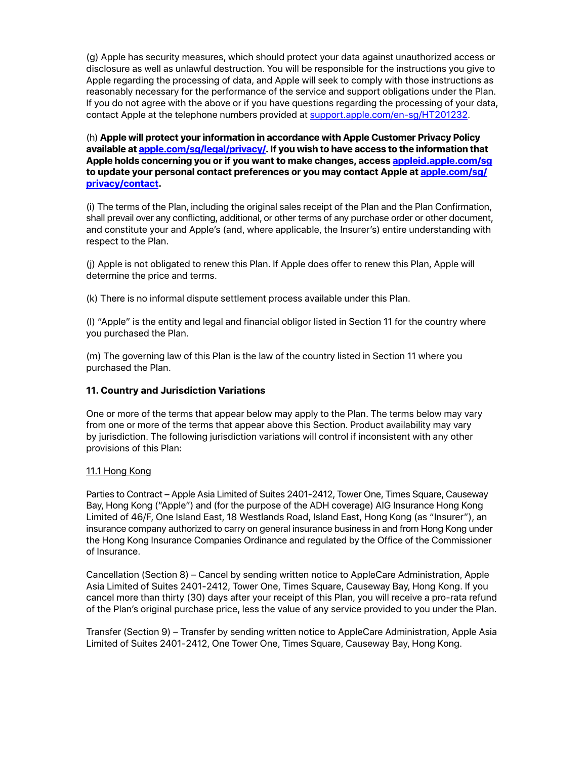(g) Apple has security measures, which should protect your data against unauthorized access or disclosure as well as unlawful destruction. You will be responsible for the instructions you give to Apple regarding the processing of data, and Apple will seek to comply with those instructions as reasonably necessary for the performance of the service and support obligations under the Plan. If you do not agree with the above or if you have questions regarding the processing of your data, contact Apple at the telephone numbers provided at [support.apple.com/en-sg/HT201232.](http://support.apple.com/en-sg/HT201232)

(h) **Apple will protect your information in accordance with Apple Customer Privacy Policy available at [apple.com/sg/legal/privacy/](http://www.apple.com/sg/legal/privacy/). If you wish to have access to the information that Apple holds concerning you or if you want to make changes, access [appleid.apple.com/sg](https://appleid.apple.com/sg) to update your personal contact preferences or you may contact Apple at [apple.com/sg/](http://www.apple.com/sg/privacy/contact) [privacy/contact.](http://www.apple.com/sg/privacy/contact)**

(i) The terms of the Plan, including the original sales receipt of the Plan and the Plan Confirmation, shall prevail over any conflicting, additional, or other terms of any purchase order or other document, and constitute your and Apple's (and, where applicable, the Insurer's) entire understanding with respect to the Plan.

(j) Apple is not obligated to renew this Plan. If Apple does offer to renew this Plan, Apple will determine the price and terms.

(k) There is no informal dispute settlement process available under this Plan.

(l) "Apple" is the entity and legal and financial obligor listed in Section 11 for the country where you purchased the Plan.

(m) The governing law of this Plan is the law of the country listed in Section 11 where you purchased the Plan.

# **11. Country and Jurisdiction Variations**

One or more of the terms that appear below may apply to the Plan. The terms below may vary from one or more of the terms that appear above this Section. Product availability may vary by jurisdiction. The following jurisdiction variations will control if inconsistent with any other provisions of this Plan:

### 11.1 Hong Kong

Parties to Contract – Apple Asia Limited of Suites 2401-2412, Tower One, Times Square, Causeway Bay, Hong Kong ("Apple") and (for the purpose of the ADH coverage) AIG Insurance Hong Kong Limited of 46/F, One Island East, 18 Westlands Road, Island East, Hong Kong (as "Insurer"), an insurance company authorized to carry on general insurance business in and from Hong Kong under the Hong Kong Insurance Companies Ordinance and regulated by the Office of the Commissioner of Insurance.

Cancellation (Section 8) – Cancel by sending written notice to AppleCare Administration, Apple Asia Limited of Suites 2401-2412, Tower One, Times Square, Causeway Bay, Hong Kong. If you cancel more than thirty (30) days after your receipt of this Plan, you will receive a pro-rata refund of the Plan's original purchase price, less the value of any service provided to you under the Plan.

Transfer (Section 9) – Transfer by sending written notice to AppleCare Administration, Apple Asia Limited of Suites 2401-2412, One Tower One, Times Square, Causeway Bay, Hong Kong.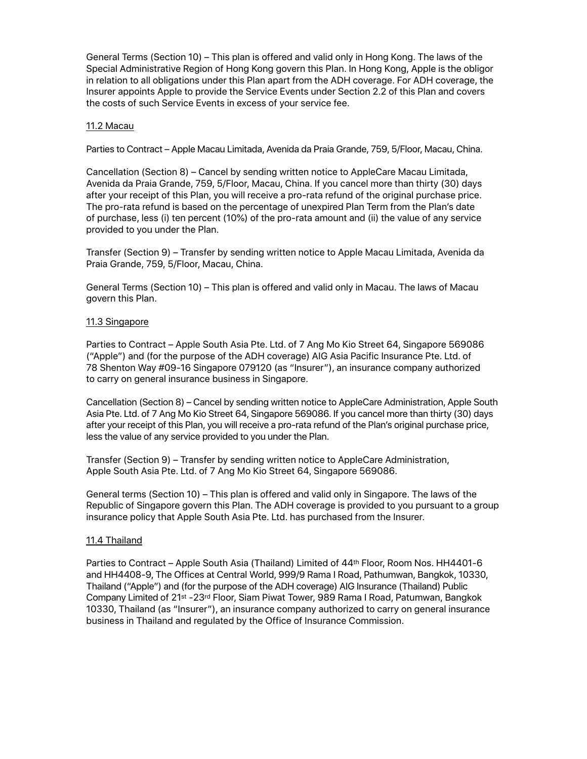General Terms (Section 10) – This plan is offered and valid only in Hong Kong. The laws of the Special Administrative Region of Hong Kong govern this Plan. In Hong Kong, Apple is the obligor in relation to all obligations under this Plan apart from the ADH coverage. For ADH coverage, the Insurer appoints Apple to provide the Service Events under Section 2.2 of this Plan and covers the costs of such Service Events in excess of your service fee.

### 11.2 Macau

Parties to Contract – Apple Macau Limitada, Avenida da Praia Grande, 759, 5/Floor, Macau, China.

Cancellation (Section 8) – Cancel by sending written notice to AppleCare Macau Limitada, Avenida da Praia Grande, 759, 5/Floor, Macau, China. If you cancel more than thirty (30) days after your receipt of this Plan, you will receive a pro-rata refund of the original purchase price. The pro-rata refund is based on the percentage of unexpired Plan Term from the Plan's date of purchase, less (i) ten percent (10%) of the pro-rata amount and (ii) the value of any service provided to you under the Plan.

Transfer (Section 9) – Transfer by sending written notice to Apple Macau Limitada, Avenida da Praia Grande, 759, 5/Floor, Macau, China.

General Terms (Section 10) – This plan is offered and valid only in Macau. The laws of Macau govern this Plan.

### 11.3 Singapore

Parties to Contract – Apple South Asia Pte. Ltd. of 7 Ang Mo Kio Street 64, Singapore 569086 ("Apple") and (for the purpose of the ADH coverage) AIG Asia Pacific Insurance Pte. Ltd. of 78 Shenton Way #09-16 Singapore 079120 (as "Insurer"), an insurance company authorized to carry on general insurance business in Singapore.

Cancellation (Section 8) – Cancel by sending written notice to AppleCare Administration, Apple South Asia Pte. Ltd. of 7 Ang Mo Kio Street 64, Singapore 569086. If you cancel more than thirty (30) days after your receipt of this Plan, you will receive a pro-rata refund of the Plan's original purchase price, less the value of any service provided to you under the Plan.

Transfer (Section 9) – Transfer by sending written notice to AppleCare Administration, Apple South Asia Pte. Ltd. of 7 Ang Mo Kio Street 64, Singapore 569086.

General terms (Section 10) – This plan is offered and valid only in Singapore. The laws of the Republic of Singapore govern this Plan. The ADH coverage is provided to you pursuant to a group insurance policy that Apple South Asia Pte. Ltd. has purchased from the Insurer.

### 11.4 Thailand

Parties to Contract – Apple South Asia (Thailand) Limited of 44<sup>th</sup> Floor, Room Nos. HH4401-6 and HH4408-9, The Offices at Central World, 999/9 Rama I Road, Pathumwan, Bangkok, 10330, Thailand ("Apple") and (for the purpose of the ADH coverage) AIG Insurance (Thailand) Public Company Limited of 21st -23rd Floor, Siam Piwat Tower, 989 Rama I Road, Patumwan, Bangkok 10330, Thailand (as "Insurer"), an insurance company authorized to carry on general insurance business in Thailand and regulated by the Office of Insurance Commission.